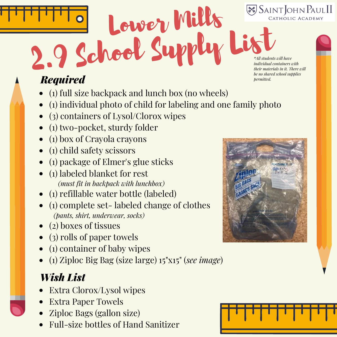

# 2.9 School Supply List *Required*

- (1) full size backpack and lunch box (no wheels)
- (1) individual photo of child for labeling and one family photo

Lower Mills

- (3) containers of Lysol/Clorox wipes
- (1) two-pocket, sturdy folder
- (1) box of Crayola crayons
- (1) child safety scissors
- (1) package of Elmer's glue sticks
- (1) labeled blanket for rest *(must fit in backpack with lunchbox)*
- (1) refillable water bottle (labeled)
- (1) complete set- labeled change of clothes *(pants, shirt, underwear, socks)*
- (2) boxes of tissues
- (3) rolls of paper towels
- $\bullet$  (1) container of baby wipes
- (1) Ziploc Big Bag (size large) 15"x15" (*see image*)

- Extra Clorox/Lysol wipes
- Extra Paper Towels
- Ziploc Bags (gallon size)
- Full-size bottles of Hand Sanitizer



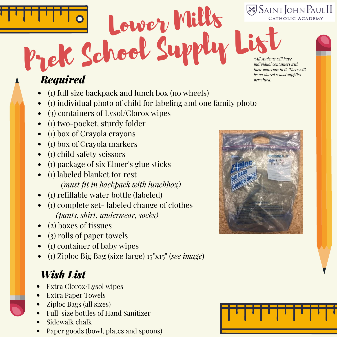SAINT JOHN PAULII CATHOLIC ACADEMY

PreK School Supply List *\*All students will have individual containers with their materials in it. There will be no shared school supplies*

*permitted.*

#### *Required*

- (1) full size backpack and lunch box (no wheels)
- (1) individual photo of child for labeling and one family photo

Lower Mills

- (3) containers of Lysol/Clorox wipes
- (1) two-pocket, sturdy folder
- (1) box of Crayola crayons
- (1) box of Crayola markers
- (1) child safety scissors
- (1) package of six Elmer's glue sticks
- (1) labeled blanket for rest *(must fit in backpack with lunchbox)*
- (1) refillable water bottle (labeled)
- (1) complete set- labeled change of clothes *(pants, shirt, underwear, socks)*
- (2) boxes of tissues
- (3) rolls of paper towels
- (1) container of baby wipes
- (1) Ziploc Big Bag (size large) 15"x15" (*see image*)

- Extra Clorox/Lysol wipes
- Extra Paper Towels
- Ziploc Bags (all sizes)
- Full-size bottles of Hand Sanitizer
- Sidewalk chalk
- Paper goods (bowl, plates and spoons)



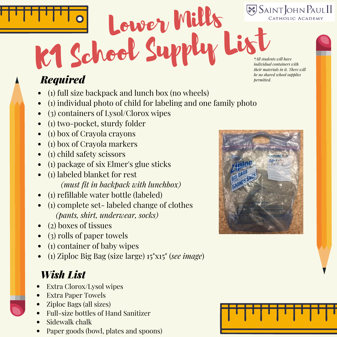**SAINT JOHN PAULII** CATHOLIC ACADEMY

# K1 School Supply List *Required*

- (1) full size backpack and lunch box (no wheels)
- (1) individual photo of child for labeling and one family photo

Lower Mills

- (3) containers of Lysol/Clorox wipes
- (1) two-pocket, sturdy folder
- (1) box of Crayola crayons
- (1) box of Crayola markers
- (1) child safety scissors
- (1) package of six Elmer's glue sticks
- (1) labeled blanket for rest *(must fit in backpack with lunchbox)*
- (1) refillable water bottle (labeled)
- (1) complete set- labeled change of clothes *(pants, shirt, underwear, socks)*
- (2) boxes of tissues
- (3) rolls of paper towels
- (1) container of baby wipes
- (1) Ziploc Big Bag (size large) 15"x15" (*see image*)

- Extra Clorox/Lysol wipes
- Extra Paper Towels
- Ziploc Bags (all sizes)
- Full-size bottles of Hand Sanitizer
- Sidewalk chalk
- Paper goods (bowl, plates and spoons)



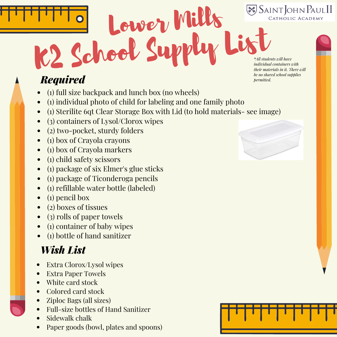**SAINT JOHN PAULII** CATHOLIC ACADEMY

# K2 School Supply List *Required*

- (1) full size backpack and lunch box (no wheels)
- (1) individual photo of child for labeling and one family photo
- (1) Sterilite 6qt Clear Storage Box with Lid (to hold materials- see image)

Lower Mills

- (3) containers of Lysol/Clorox wipes
- (2) two-pocket, sturdy folders
- (1) box of Crayola crayons
- (1) box of Crayola markers
- (1) child safety scissors
- (1) package of six Elmer's glue sticks
- (1) package of Ticonderoga pencils
- (1) refillable water bottle (labeled)
- (1) pencil box
- (2) boxes of tissues
- (3) rolls of paper towels
- (1) container of baby wipes
- (1) bottle of hand sanitizer

#### *Wish List*

- Extra Clorox/Lysol wipes
- Extra Paper Towels
- White card stock
- Colored card stock
- Ziploc Bags (all sizes)
- Full-size bottles of Hand Sanitizer
- Sidewalk chalk
- Paper goods (bowl, plates and spoons)



*\*All students will have individual containers with their materials in it. There will be no shared school supplies permitted.*

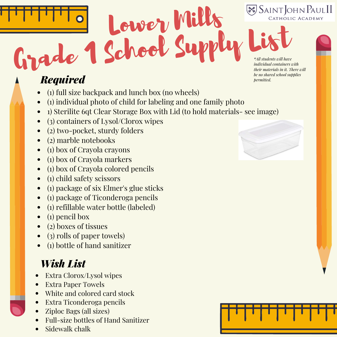



## Grade 1 School Supply *Required*

- (1) full size backpack and lunch box (no wheels)
- (1) individual photo of child for labeling and one family photo
- 1) Sterilite 6qt Clear Storage Box with Lid (to hold materials- see image)

Lower Mills

- (3) containers of Lysol/Clorox wipes
- (2) two-pocket, sturdy folders
- (2) marble notebooks
- (1) box of Crayola crayons
- (1) box of Crayola markers
- (1) box of Crayola colored pencils
- (1) child safety scissors
- (1) package of six Elmer's glue sticks
- (1) package of Ticonderoga pencils
- (1) refillable water bottle (labeled)
- (1) pencil box
- (2) boxes of tissues
- (3) rolls of paper towels)
- (1) bottle of hand sanitizer

- Extra Clorox/Lysol wipes
- Extra Paper Towels
- White and colored card stock
- Extra Ticonderoga pencils
- Ziploc Bags (all sizes)
- Full-size bottles of Hand Sanitizer
- Sidewalk chalk



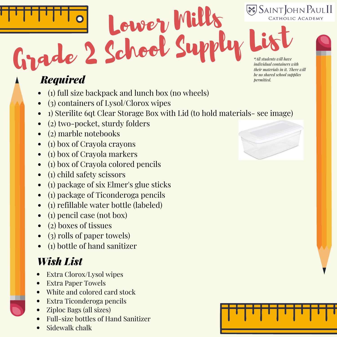

## Grade 2 School Supply *Required*

- (1) full size backpack and lunch box (no wheels)
- (3) containers of Lysol/Clorox wipes
- 1) Sterilite 6qt Clear Storage Box with Lid (to hold materials- see image)

Lower Mills

- (2) two-pocket, sturdy folders
- (2) marble notebooks
- (1) box of Crayola crayons
- (1) box of Crayola markers
- (1) box of Crayola colored pencils
- (1) child safety scissors
- (1) package of six Elmer's glue sticks
- (1) package of Ticonderoga pencils
- (1) refillable water bottle (labeled)
- (1) pencil case (not box)
- (2) boxes of tissues
- (3) rolls of paper towels)
- (1) bottle of hand sanitizer

- Extra Clorox/Lysol wipes
- Extra Paper Towels
- White and colored card stock
- Extra Ticonderoga pencils
- Ziploc Bags (all sizes)
- Full-size bottles of Hand Sanitizer
- Sidewalk chalk



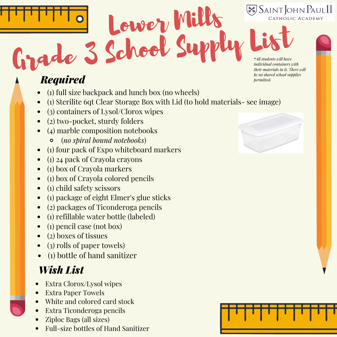

## Grade 3 School Supply *Required*

- (1) full size backpack and lunch box (no wheels)
- (1) Sterilite 6qt Clear Storage Box with Lid (to hold materials- see image)

Lower Mills

- (3) containers of Lysol/Clorox wipes
- (2) two-pocket, sturdy folders
- (4) marble composition notebooks
	- (*no spiral bound notebooks*)
- (1) four pack of Expo whiteboard markers
- (1) 24 pack of Crayola crayons
- (1) box of Crayola markers
- (1) box of Crayola colored pencils
- (1) child safety scissors
- (1) package of eight Elmer's glue sticks
- (2) packages of Ticonderoga pencils
- (1) refillable water bottle (labeled)
- (1) pencil case (not box)
- (2) boxes of tissues
- (3) rolls of paper towels)
- (1) bottle of hand sanitizer

- Extra Clorox/Lysol wipes
- Extra Paper Towels
- White and colored card stock
- Extra Ticonderoga pencils
- Ziploc Bags (all sizes)
- Full-size bottles of Hand Sanitizer



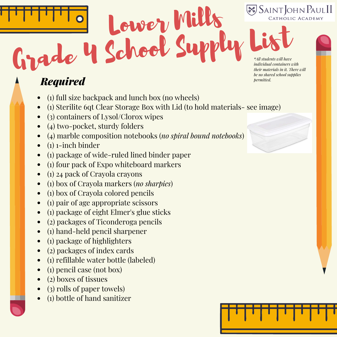

## Grade 4 School Supply *Required*

- (1) full size backpack and lunch box (no wheels)
- (1) Sterilite 6qt Clear Storage Box with Lid (to hold materials- see image)

Lower Mills

- (3) containers of Lysol/Clorox wipes
- (4) two-pocket, sturdy folders
- (4) marble composition notebooks (*no spiral bound notebooks*)
- (1) 1-inch binder
- (1) package of wide-ruled lined binder paper
- (1) four pack of Expo whiteboard markers
- (1) 24 pack of Crayola crayons
- (1) box of Crayola markers (*no sharpies*)
- (1) box of Crayola colored pencils
- (1) pair of age appropriate scissors
- (1) package of eight Elmer's glue sticks
- (2) packages of Ticonderoga pencils
- (1) hand-held pencil sharpener
- (1) package of highlighters
- (2) packages of index cards
- (1) refillable water bottle (labeled)
- (1) pencil case (not box)
- (2) boxes of tissues
- (3) rolls of paper towels)
- (1) bottle of hand sanitizer

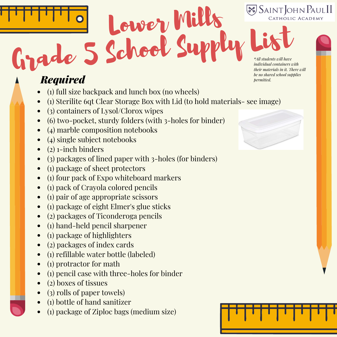**SAINT JOHN PAULII** CATHOLIC ACADEMY



### Grade 5 School Supply *Required*

- (1) full size backpack and lunch box (no wheels)
- (1) Sterilite 6qt Clear Storage Box with Lid (to hold materials- see image)

Lower Mills

- (3) containers of Lysol/Clorox wipes
- (6) two-pocket, sturdy folders (with 3-holes for binder)
- (4) marble composition notebooks
- (4) single subject notebooks
- (2) 1-inch binders
- (3) packages of lined paper with 3-holes (for binders)
- (1) package of sheet protectors
- (1) four pack of Expo whiteboard markers
- (1) pack of Crayola colored pencils
- (1) pair of age appropriate scissors
- (1) package of eight Elmer's glue sticks
- (2) packages of Ticonderoga pencils
- (1) hand-held pencil sharpener
- (1) package of highlighters
- (2) packages of index cards
- (1) refillable water bottle (labeled)
- (1) protractor for math
- (1) pencil case with three-holes for binder
- (2) boxes of tissues
- (3) rolls of paper towels)
- (1) bottle of hand sanitizer
- (1) package of Ziploc bags (medium size)